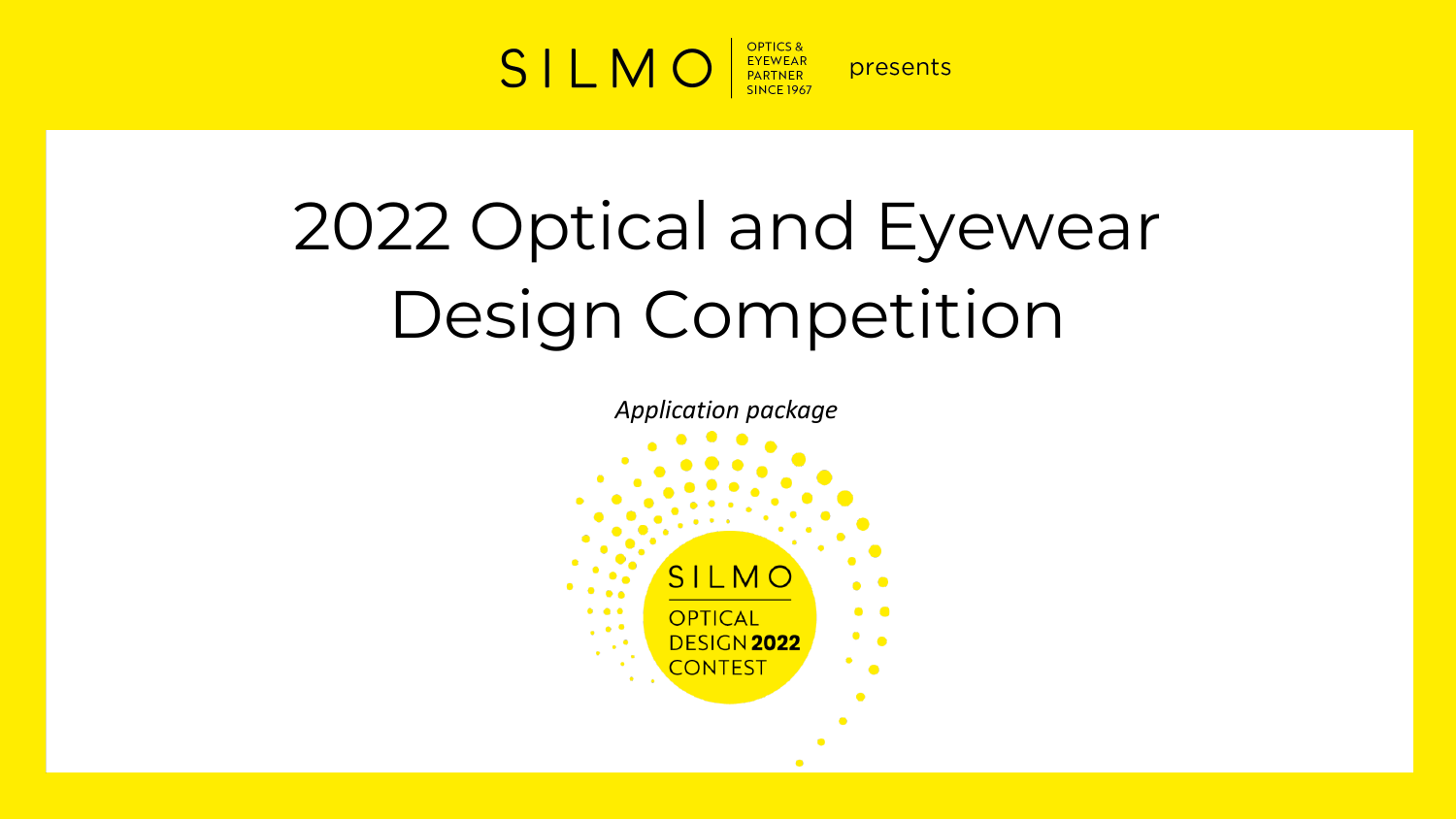

# 2022 Optical and Eyewear Design Competition

*Application package*

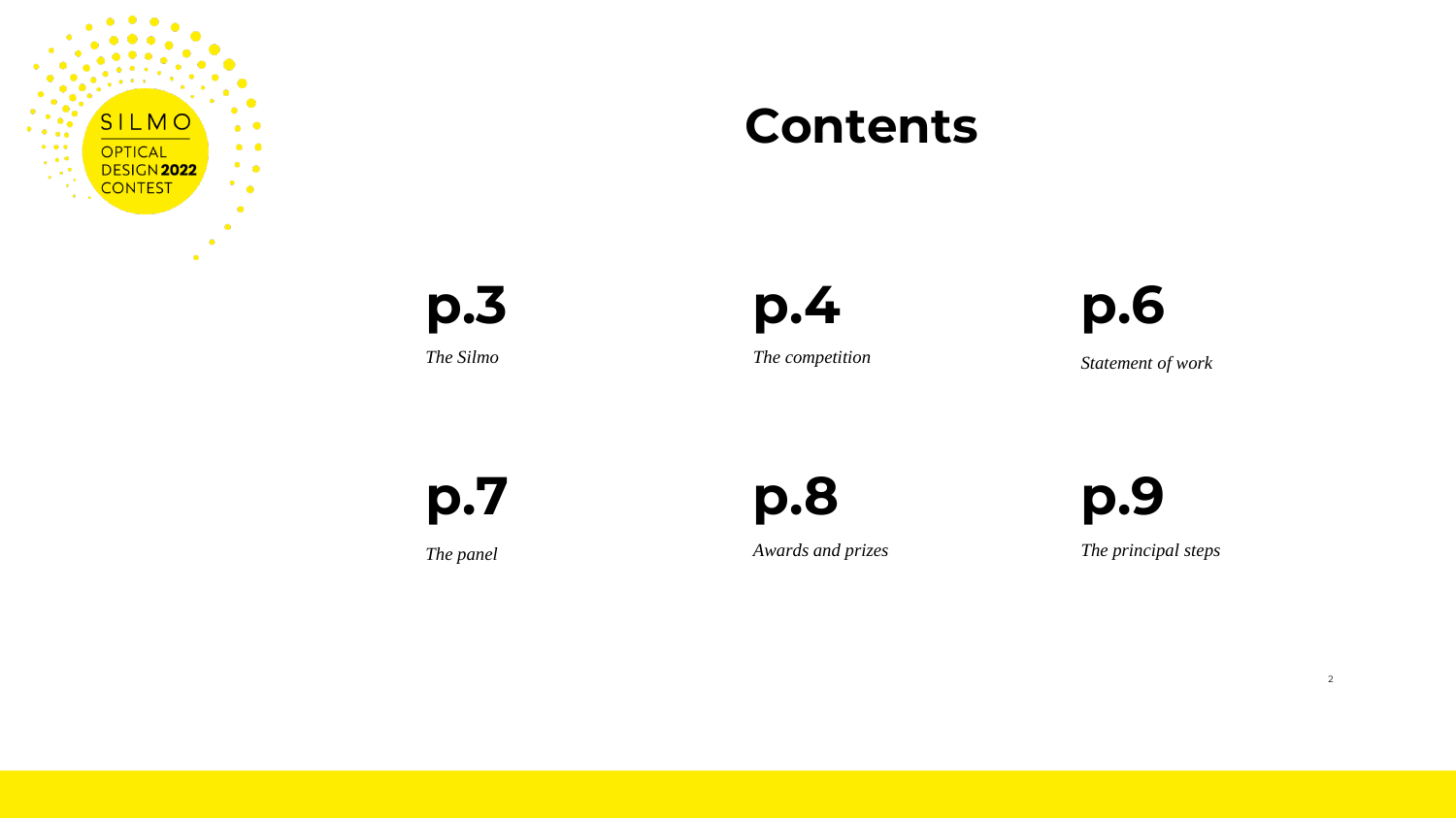

### **Contents**

**p.3**



*The Silmo The competition Statement of work*

**p.7**

**p.8 p.9**

*The panel Awards and prizes The principal steps*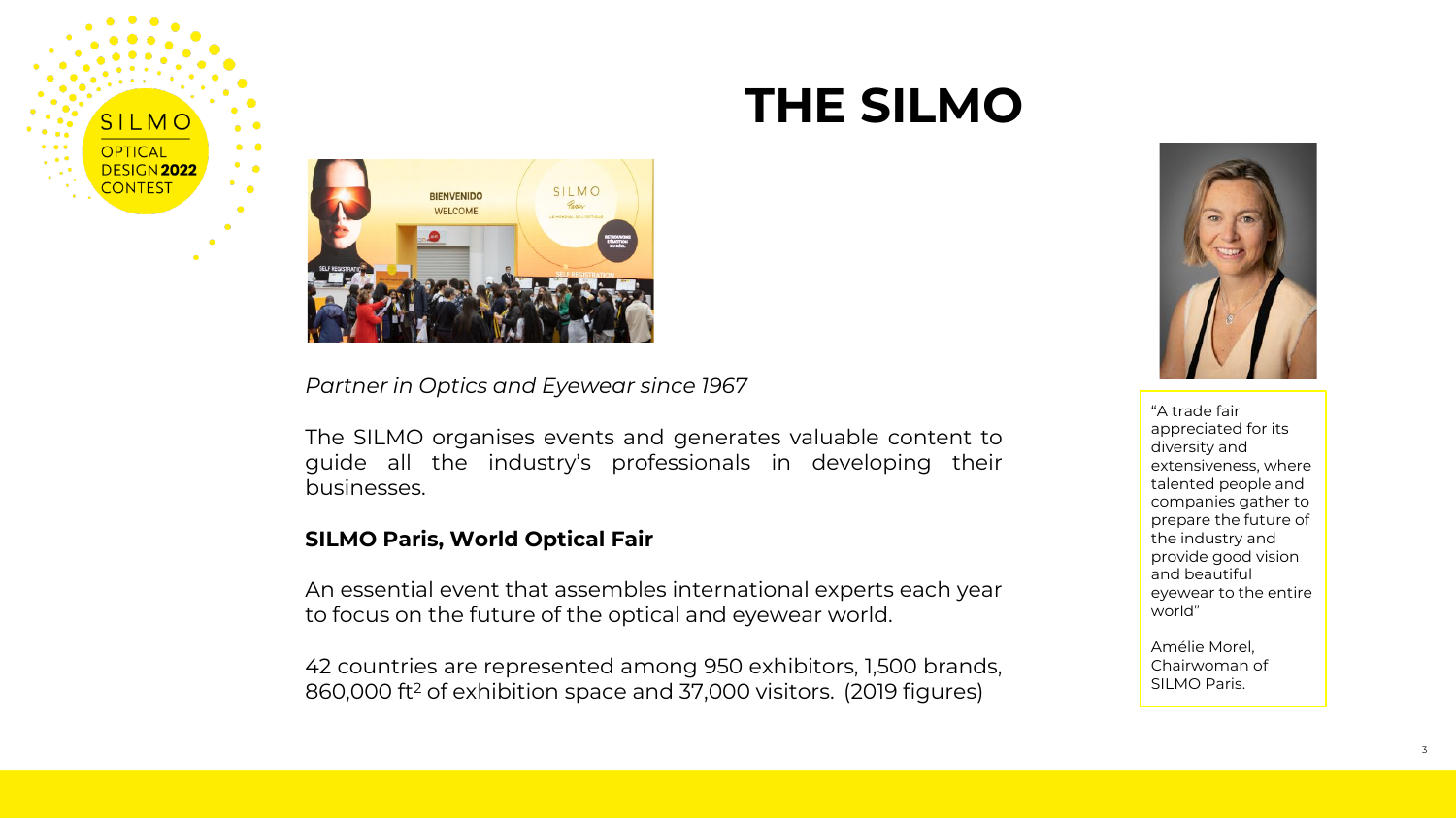

### **THE SILMO**



*Partner in Optics and Eyewear since 1967*

The SILMO organises events and generates valuable content to guide all the industry's professionals in developing their businesses.

#### **SILMO Paris, World Optical Fair**

An essential event that assembles international experts each year to focus on the future of the optical and eyewear world.

42 countries are represented among 950 exhibitors, 1,500 brands, 860,000 ft<sup>2</sup> of exhibition space and 37,000 visitors. (2019 figures)



"A trade fair appreciated for its diversity and extensiveness, where talented people and companies gather to prepare the future of the industry and provide good vision and beautiful eyewear to the entire world"

Amélie Morel, Chairwoman of SILMO Paris.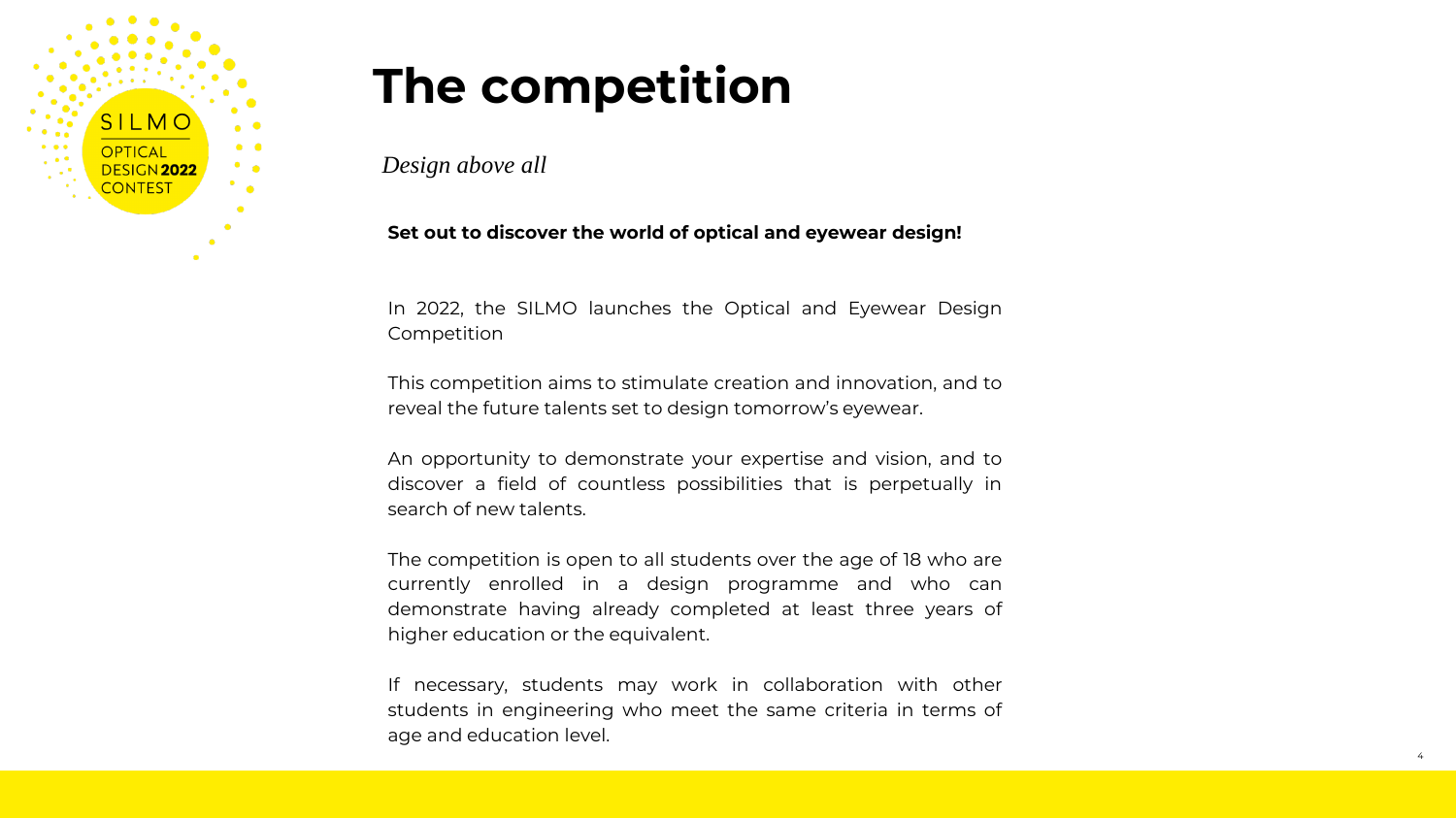

## **The competition**

*Design above all* 

#### **Set out to discover the world of optical and eyewear design!**

In 2022, the SILMO launches the Optical and Eyewear Design Competition

This competition aims to stimulate creation and innovation, and to reveal the future talents set to design tomorrow's eyewear.

An opportunity to demonstrate your expertise and vision, and to discover a field of countless possibilities that is perpetually in search of new talents.

The competition is open to all students over the age of 18 who are currently enrolled in a design programme and who can demonstrate having already completed at least three years of higher education or the equivalent.

If necessary, students may work in collaboration with other students in engineering who meet the same criteria in terms of age and education level.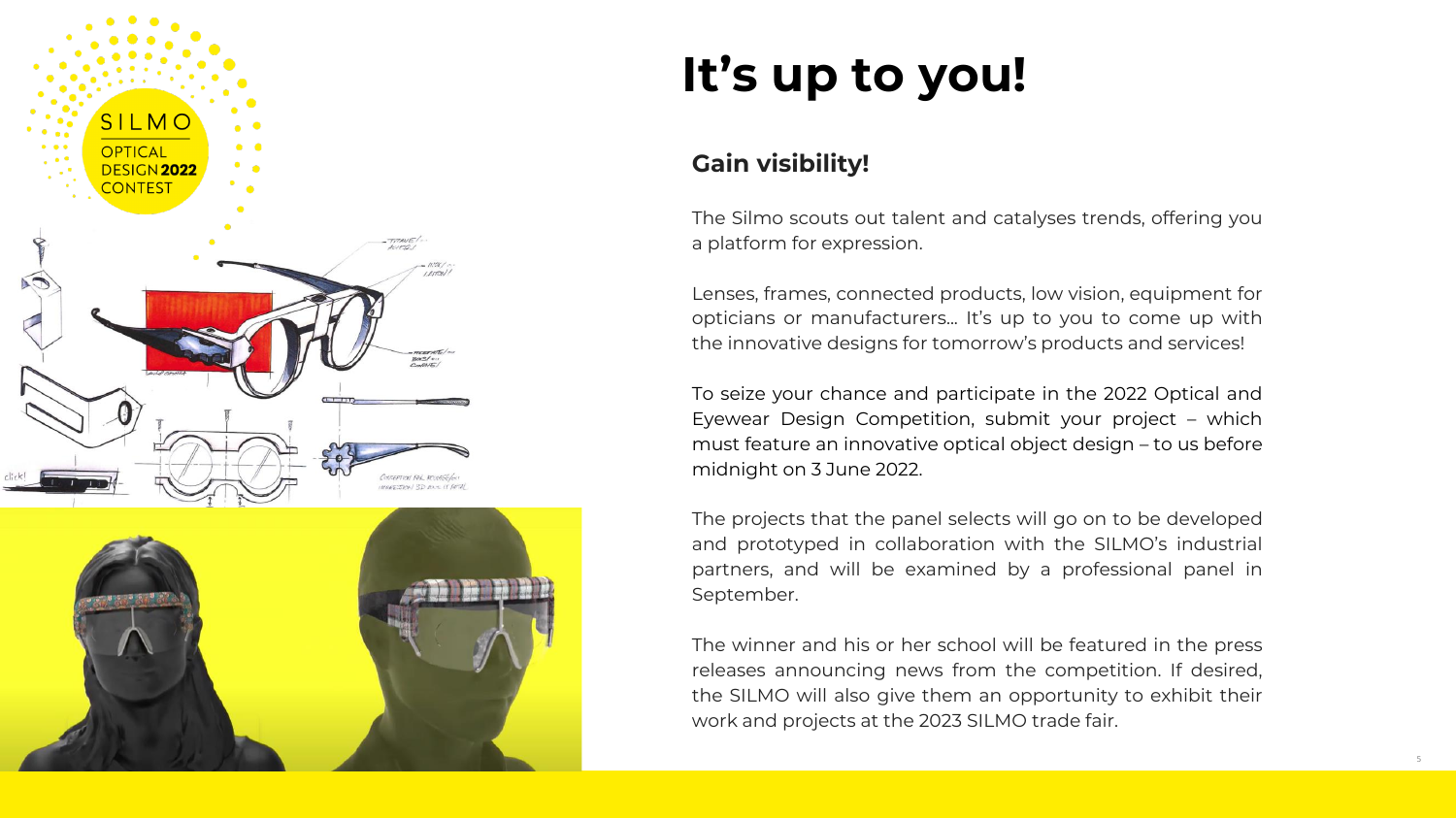

# **It's up to you!**

#### **Gain visibility!**

The Silmo scouts out talent and catalyses trends, offering you a platform for expression.

Lenses, frames, connected products, low vision, equipment for opticians or manufacturers... It's up to you to come up with the innovative designs for tomorrow's products and services!

To seize your chance and participate in the 2022 Optical and Eyewear Design Competition, submit your project – which must feature an innovative optical object design – to us before midnight on 3 June 2022.

The projects that the panel selects will go on to be developed and prototyped in collaboration with the SILMO's industrial partners, and will be examined by a professional panel in September.

The winner and his or her school will be featured in the press releases announcing news from the competition. If desired, the SILMO will also give them an opportunity to exhibit their work and projects at the 2023 SILMO trade fair.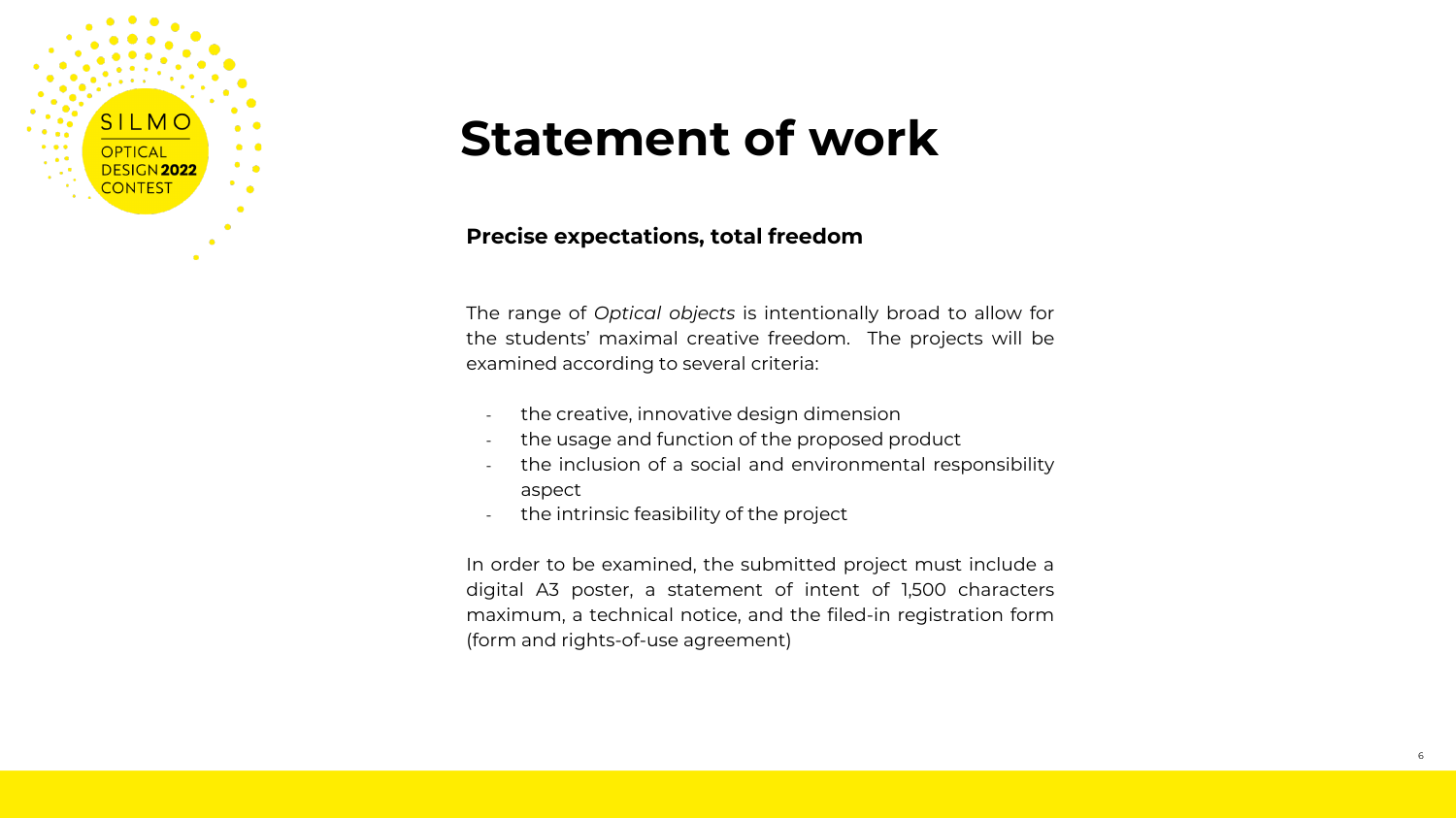

### **Statement of work**

#### **Precise expectations, total freedom**

The range of *Optical objects* is intentionally broad to allow for the students' maximal creative freedom. The projects will be examined according to several criteria:

- the creative, innovative design dimension
- the usage and function of the proposed product
- the inclusion of a social and environmental responsibility aspect
- the intrinsic feasibility of the project

In order to be examined, the submitted project must include a digital A3 poster, a statement of intent of 1,500 characters maximum, a technical notice, and the filed-in registration form (form and rights-of-use agreement)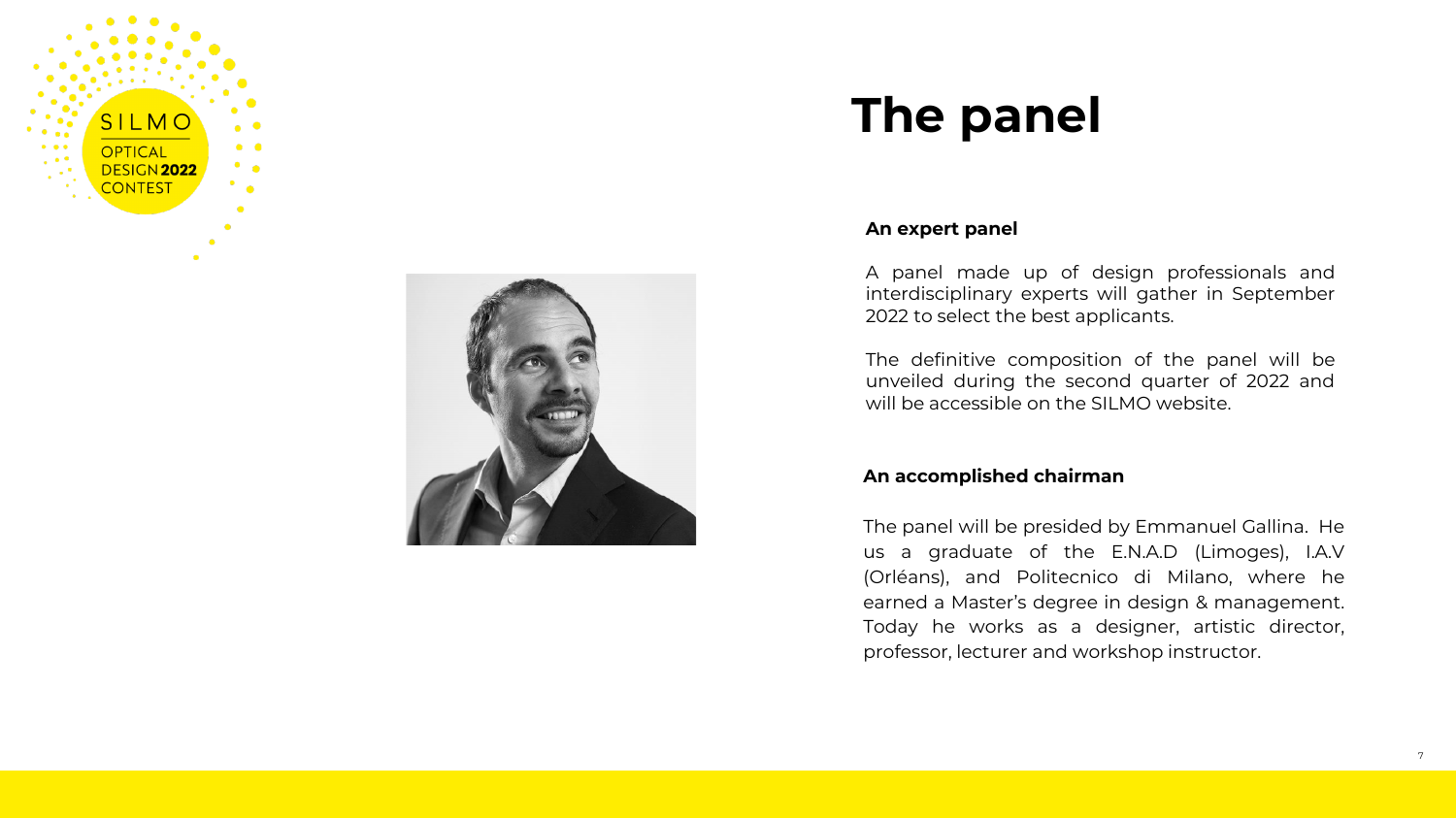



### **The panel**

#### **An expert panel**

A panel made up of design professionals and interdisciplinary experts will gather in September 2022 to select the best applicants.

The definitive composition of the panel will be unveiled during the second quarter of 2022 and will be accessible on the SILMO website.

#### **An accomplished chairman**

The panel will be presided by Emmanuel Gallina. He us a graduate of the E.N.A.D (Limoges), I.A.V (Orléans), and Politecnico di Milano, where he earned a Master's degree in design & management. Today he works as a designer, artistic director, professor, lecturer and workshop instructor.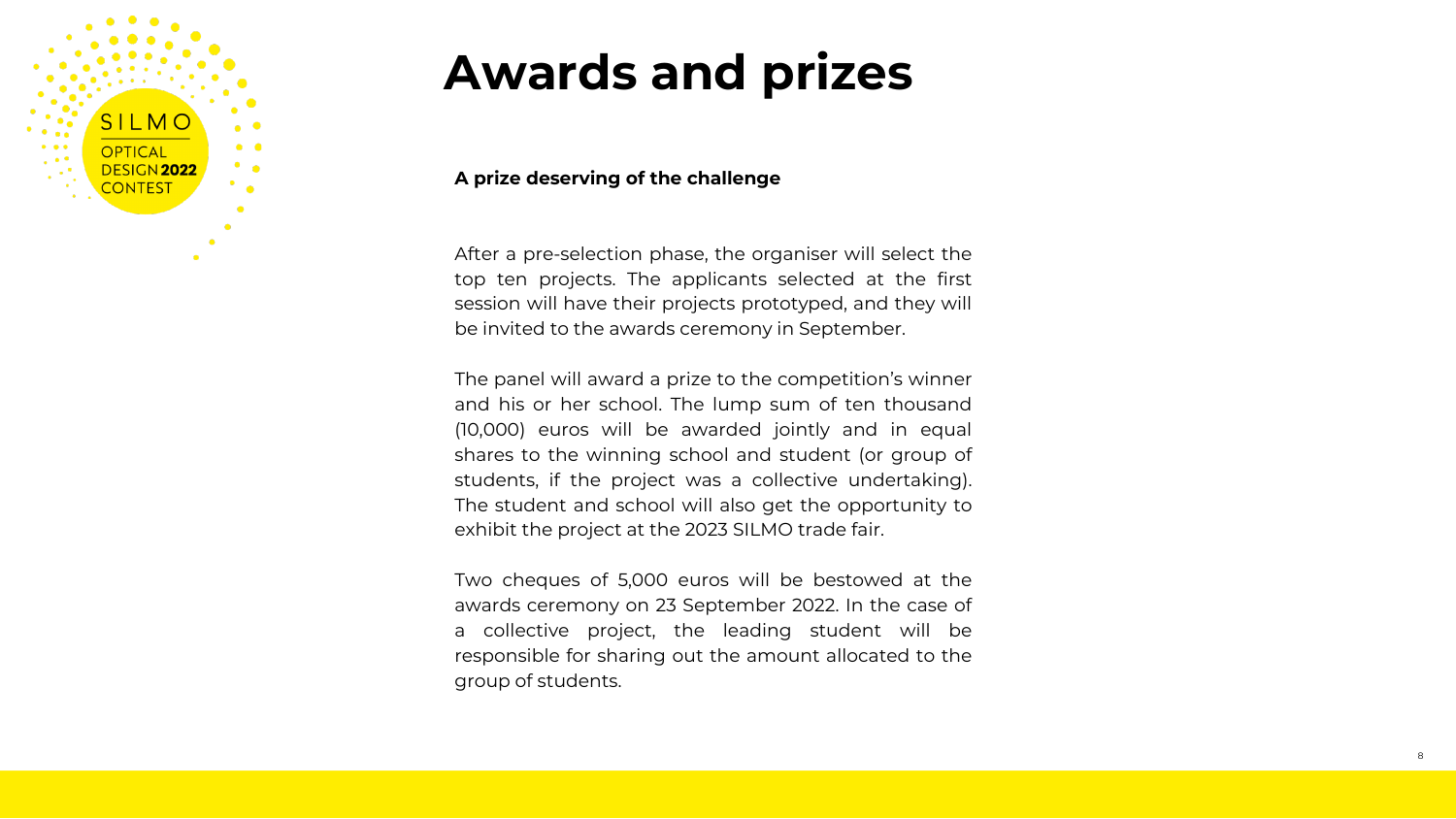

### **Awards and prizes**

#### **A prize deserving of the challenge**

After a pre-selection phase, the organiser will select the top ten projects. The applicants selected at the first session will have their projects prototyped, and they will be invited to the awards ceremony in September.

The panel will award a prize to the competition's winner and his or her school. The lump sum of ten thousand (10,000) euros will be awarded jointly and in equal shares to the winning school and student (or group of students, if the project was a collective undertaking). The student and school will also get the opportunity to exhibit the project at the 2023 SILMO trade fair.

Two cheques of 5,000 euros will be bestowed at the awards ceremony on 23 September 2022. In the case of a collective project, the leading student will be responsible for sharing out the amount allocated to the group of students.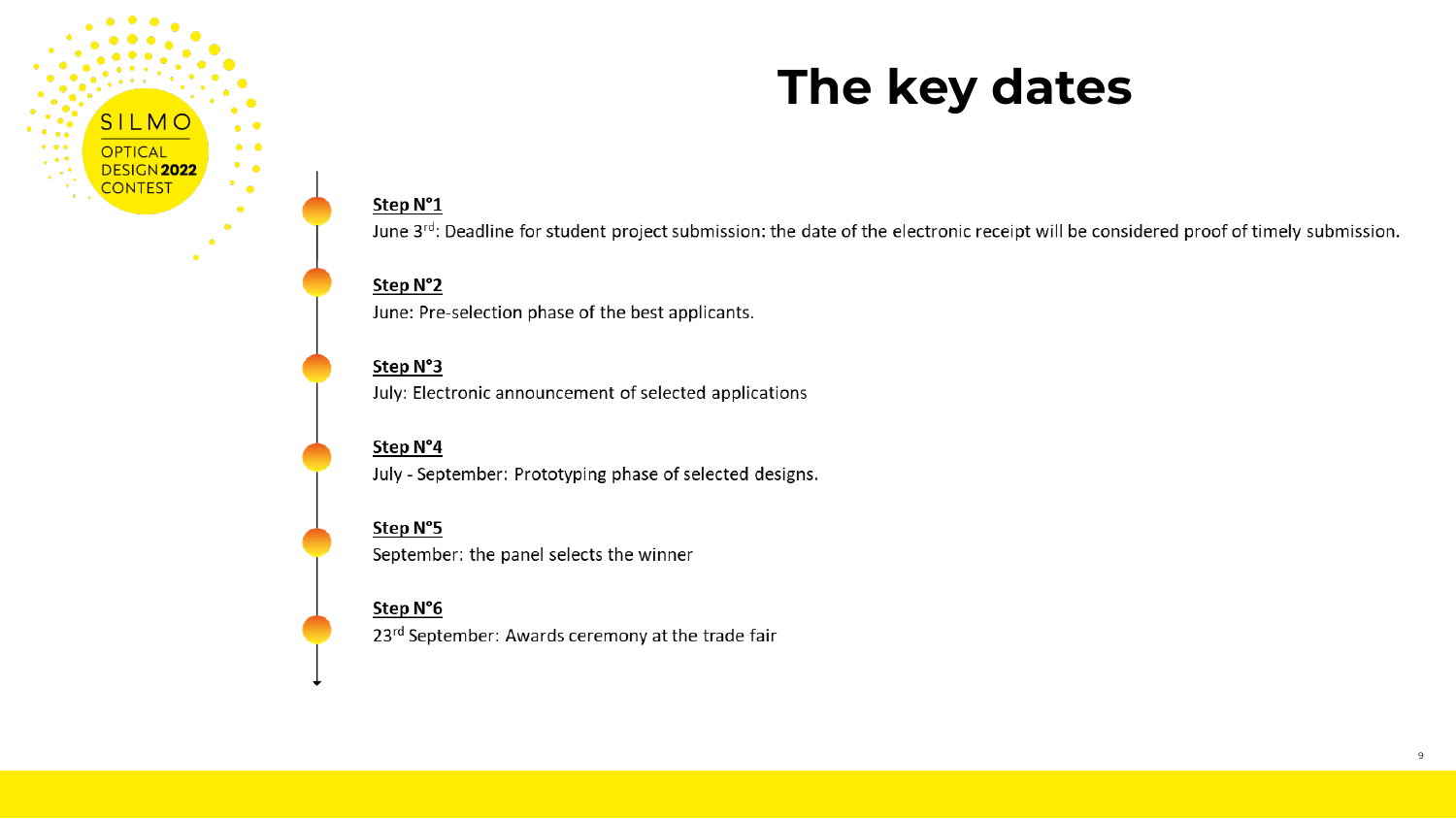

### **The key dates**

#### Step N°1

June 3rd: Deadline for student project submission: the date of the electronic receipt will be considered proof of timely submission.

#### Step N°2

June: Pre-selection phase of the best applicants.

#### Step N°3

July: Electronic announcement of selected applications

#### Step N°4

July - September: Prototyping phase of selected designs.

#### Step N°5

September: the panel selects the winner

#### Step N°6

23rd September: Awards ceremony at the trade fair